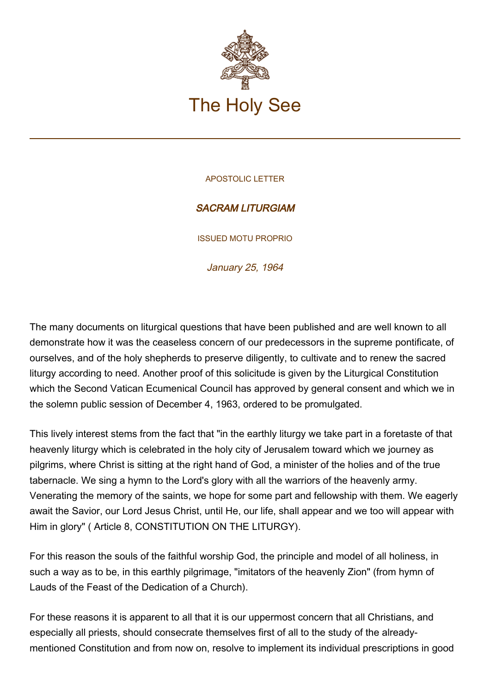

## APOSTOLIC LETTER

## SACRAM LITURGIAM

ISSUED MOTU PROPRIO

January 25, 1964

The many documents on liturgical questions that have been published and are well known to all demonstrate how it was the ceaseless concern of our predecessors in the supreme pontificate, of ourselves, and of the holy shepherds to preserve diligently, to cultivate and to renew the sacred liturgy according to need. Another proof of this solicitude is given by the Liturgical Constitution which the Second Vatican Ecumenical Council has approved by general consent and which we in the solemn public session of December 4, 1963, ordered to be promulgated.

This lively interest stems from the fact that "in the earthly liturgy we take part in a foretaste of that heavenly liturgy which is celebrated in the holy city of Jerusalem toward which we journey as pilgrims, where Christ is sitting at the right hand of God, a minister of the holies and of the true tabernacle. We sing a hymn to the Lord's glory with all the warriors of the heavenly army. Venerating the memory of the saints, we hope for some part and fellowship with them. We eagerly await the Savior, our Lord Jesus Christ, until He, our life, shall appear and we too will appear with Him in glory" ( Article 8, CONSTITUTION ON THE LITURGY).

For this reason the souls of the faithful worship God, the principle and model of all holiness, in such a way as to be, in this earthly pilgrimage, "imitators of the heavenly Zion" (from hymn of Lauds of the Feast of the Dedication of a Church).

For these reasons it is apparent to all that it is our uppermost concern that all Christians, and especially all priests, should consecrate themselves first of all to the study of the alreadymentioned Constitution and from now on, resolve to implement its individual prescriptions in good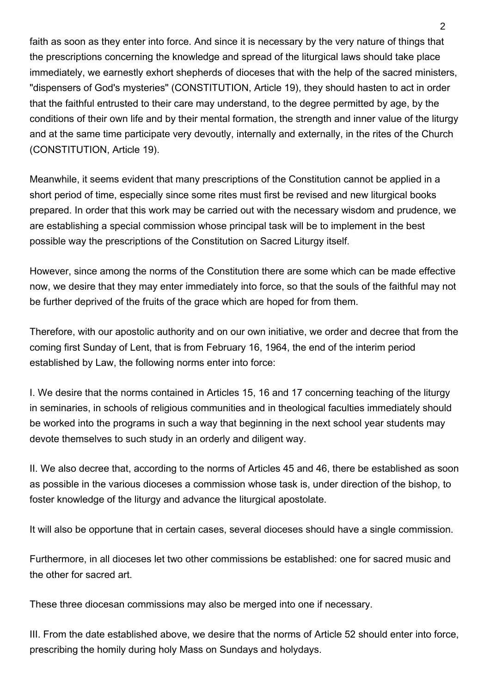faith as soon as they enter into force. And since it is necessary by the very nature of things that the prescriptions concerning the knowledge and spread of the liturgical laws should take place immediately, we earnestly exhort shepherds of dioceses that with the help of the sacred ministers, "dispensers of God's mysteries" (CONSTITUTION, Article 19), they should hasten to act in order that the faithful entrusted to their care may understand, to the degree permitted by age, by the conditions of their own life and by their mental formation, the strength and inner value of the liturgy and at the same time participate very devoutly, internally and externally, in the rites of the Church (CONSTITUTION, Article 19).

Meanwhile, it seems evident that many prescriptions of the Constitution cannot be applied in a short period of time, especially since some rites must first be revised and new liturgical books prepared. In order that this work may be carried out with the necessary wisdom and prudence, we are establishing a special commission whose principal task will be to implement in the best possible way the prescriptions of the Constitution on Sacred Liturgy itself.

However, since among the norms of the Constitution there are some which can be made effective now, we desire that they may enter immediately into force, so that the souls of the faithful may not be further deprived of the fruits of the grace which are hoped for from them.

Therefore, with our apostolic authority and on our own initiative, we order and decree that from the coming first Sunday of Lent, that is from February 16, 1964, the end of the interim period established by Law, the following norms enter into force:

I. We desire that the norms contained in Articles 15, 16 and 17 concerning teaching of the liturgy in seminaries, in schools of religious communities and in theological faculties immediately should be worked into the programs in such a way that beginning in the next school year students may devote themselves to such study in an orderly and diligent way.

II. We also decree that, according to the norms of Articles 45 and 46, there be established as soon as possible in the various dioceses a commission whose task is, under direction of the bishop, to foster knowledge of the liturgy and advance the liturgical apostolate.

It will also be opportune that in certain cases, several dioceses should have a single commission.

Furthermore, in all dioceses let two other commissions be established: one for sacred music and the other for sacred art.

These three diocesan commissions may also be merged into one if necessary.

III. From the date established above, we desire that the norms of Article 52 should enter into force, prescribing the homily during holy Mass on Sundays and holydays.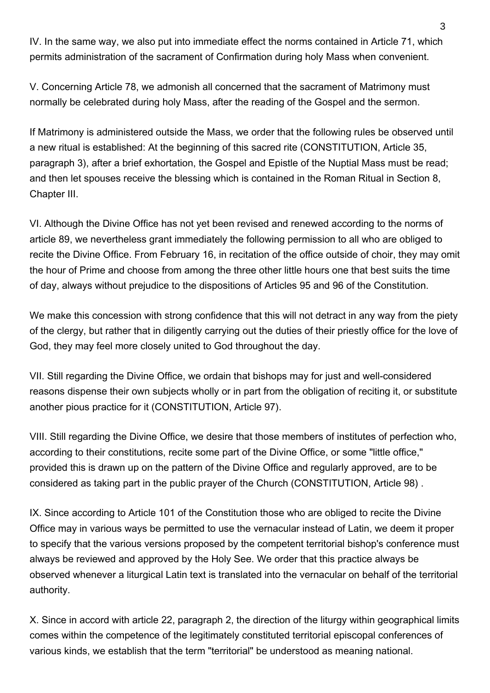IV. In the same way, we also put into immediate effect the norms contained in Article 71, which permits administration of the sacrament of Confirmation during holy Mass when convenient.

V. Concerning Article 78, we admonish all concerned that the sacrament of Matrimony must normally be celebrated during holy Mass, after the reading of the Gospel and the sermon.

If Matrimony is administered outside the Mass, we order that the following rules be observed until a new ritual is established: At the beginning of this sacred rite (CONSTITUTION, Article 35, paragraph 3), after a brief exhortation, the Gospel and Epistle of the Nuptial Mass must be read; and then let spouses receive the blessing which is contained in the Roman Ritual in Section 8, Chapter III.

VI. Although the Divine Office has not yet been revised and renewed according to the norms of article 89, we nevertheless grant immediately the following permission to all who are obliged to recite the Divine Office. From February 16, in recitation of the office outside of choir, they may omit the hour of Prime and choose from among the three other little hours one that best suits the time of day, always without prejudice to the dispositions of Articles 95 and 96 of the Constitution.

We make this concession with strong confidence that this will not detract in any way from the piety of the clergy, but rather that in diligently carrying out the duties of their priestly office for the love of God, they may feel more closely united to God throughout the day.

VII. Still regarding the Divine Office, we ordain that bishops may for just and well-considered reasons dispense their own subjects wholly or in part from the obligation of reciting it, or substitute another pious practice for it (CONSTITUTION, Article 97).

VIII. Still regarding the Divine Office, we desire that those members of institutes of perfection who, according to their constitutions, recite some part of the Divine Office, or some "little office," provided this is drawn up on the pattern of the Divine Office and regularly approved, are to be considered as taking part in the public prayer of the Church (CONSTITUTION, Article 98) .

IX. Since according to Article 101 of the Constitution those who are obliged to recite the Divine Office may in various ways be permitted to use the vernacular instead of Latin, we deem it proper to specify that the various versions proposed by the competent territorial bishop's conference must always be reviewed and approved by the Holy See. We order that this practice always be observed whenever a liturgical Latin text is translated into the vernacular on behalf of the territorial authority.

X. Since in accord with article 22, paragraph 2, the direction of the liturgy within geographical limits comes within the competence of the legitimately constituted territorial episcopal conferences of various kinds, we establish that the term "territorial" be understood as meaning national.